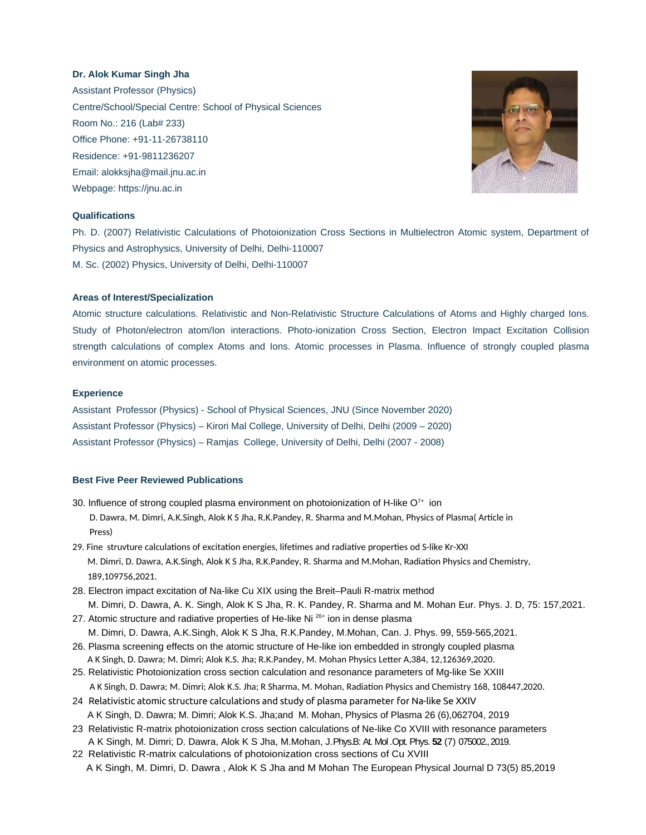# **Dr. Alok Kumar Singh Jha**

Assistant Professor (Physics) Centre/School/Special Centre: School of Physical Sciences Room No.: 216 (Lab# 233) Office Phone: +91-11-26738110 Residence: +91-9811236207 Email: alokksjha@mail.jnu.ac.in Webpage: [https://jnu.ac.in](https://jnu.ac.in/)



## **Qualifications**

Ph. D. (2007) Relativistic Calculations of Photoionization Cross Sections in Multielectron Atomic system, Department of Physics and Astrophysics, University of Delhi, Delhi-110007 M. Sc. (2002) Physics, University of Delhi, Delhi-110007

#### **Areas of Interest/Specialization**

Atomic structure calculations. Relativistic and Non-Relativistic Structure Calculations of Atoms and Highly charged Ions. Study of Photon/electron atom/Ion interactions. Photo-ionization Cross Section, Electron Impact Excitation Collision strength calculations of complex Atoms and Ions. Atomic processes in Plasma. Influence of strongly coupled plasma environment on atomic processes.

### **Experience**

Assistant Professor (Physics) - School of Physical Sciences, JNU (Since November 2020) Assistant Professor (Physics) – Kirori Mal College, University of Delhi, Delhi (2009 – 2020) Assistant Professor (Physics) – Ramjas College, University of Delhi, Delhi (2007 - 2008)

#### **Best Five Peer Reviewed Publications**

- 30. Influence of strong coupled plasma environment on photoionization of H-like  $O<sup>7+</sup>$  ion D. Dawra, M. Dimri, A.K.Singh, Alok K S Jha, R.K.Pandey, R. Sharma and M.Mohan, Physics of Plasma( Article in Press)
- 29. Fine struvture calculations of excitation energies, lifetimes and radiative properties od S-like Kr-XXI M. Dimri, D. Dawra, A.K.Singh, Alok K S Jha, R.K.Pandey, R. Sharma and M.Mohan, Radiation Physics and Chemistry, 189,109756,2021.
- 28. Electron impact excitation of Na-like Cu XIX using the Breit–Pauli R-matrix method M. Dimri, D. Dawra, A. K. Singh, Alok K S Jha, R. K. Pandey, R. Sharma and M. Mohan Eur. Phys. J. D, 75: 157,2021.
- 27. Atomic structure and radiative properties of He-like Ni<sup>26+</sup> ion in dense plasma M. Dimri, D. Dawra, A.K.Singh, Alok K S Jha, R.K.Pandey, M.Mohan, Can. J. Phys. 99, 559-565,2021.
- 26. Plasma screening effects on the atomic structure of He-like ion embedded in strongly coupled plasma A K Singh, D. Dawra; M. Dimri; Alok K.S. Jha; R.K.Pandey, M. Mohan Physics Letter A,384, 12,126369,2020.
- 25. Relativistic Photoionization cross section calculation and resonance parameters of Mg-like Se XXIII A K Singh, D. Dawra; M. Dimri; Alok K.S. Jha; R Sharma, M. Mohan, Radiation Physics and Chemistry 168, 108447,2020.
- 24 Relativistic atomic structure calculations and study of plasma parameter for Na-like Se XXIV A K Singh, D. Dawra; M. Dimri; Alok K.S. Jha;and M. Mohan, Physics of Plasma 26 (6),062704, 2019
- 23 Relativistic R-matrix photoionization cross section calculations of Ne-like Co XVIII with resonance parameters A K Singh, M. Dimri; D. Dawra, Alok K S Jha, M.Mohan, J.Phys.B: At. Mol .Opt. Phys. **52** (7) 075002., 2019.
- 22 Relativistic R-matrix calculations of photoionization cross sections of Cu XVIII A K Singh, M. Dimri, D. Dawra , Alok K S Jha and M Mohan The European Physical Journal D 73(5) 85,2019